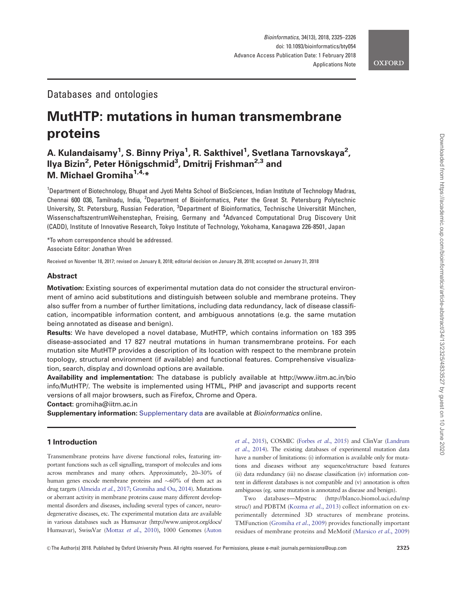## Databases and ontologies

# MutHTP: mutations in human transmembrane proteins

# A. Kulandaisamy<sup>1</sup>, S. Binny Priya<sup>1</sup>, R. Sakthivel<sup>1</sup>, Svetlana Tarnovskaya<sup>2</sup>, llya Bizin<sup>2</sup>, Peter Hönigschmid<sup>3</sup>, Dmitrij Frishman<sup>2,3</sup> and M. Michael Gromiha<sup>1,4,\*</sup>

<sup>1</sup>Department of Biotechnology, Bhupat and Jyoti Mehta School of BioSciences, Indian Institute of Technology Madras, Chennai 600 036, Tamilnadu, India, <sup>2</sup>Department of Bioinformatics, Peter the Great St. Petersburg Polytechnic University, St. Petersburg, Russian Federation, <sup>3</sup>Department of Bioinformatics, Technische Universität München, WissenschaftszentrumWeihenstephan, Freising, Germany and <sup>4</sup>Advanced Computational Drug Discovery Unit (CADD), Institute of Innovative Research, Tokyo Institute of Technology, Yokohama, Kanagawa 226-8501, Japan

\*To whom correspondence should be addressed. Associate Editor: Jonathan Wren

Received on November 18, 2017; revised on January 8, 2018; editorial decision on January 28, 2018; accepted on January 31, 2018

#### Abstract

Motivation: Existing sources of experimental mutation data do not consider the structural environment of amino acid substitutions and distinguish between soluble and membrane proteins. They also suffer from a number of further limitations, including data redundancy, lack of disease classification, incompatible information content, and ambiguous annotations (e.g. the same mutation being annotated as disease and benign).

Results: We have developed a novel database, MutHTP, which contains information on 183 395 disease-associated and 17 827 neutral mutations in human transmembrane proteins. For each mutation site MutHTP provides a description of its location with respect to the membrane protein topology, structural environment (if available) and functional features. Comprehensive visualization, search, display and download options are available.

Availability and implementation: The database is publicly available at [http://www.iitm.ac.in/bio](http://www.iitm.ac.in/bioinfo/MutHTP/) [info/MutHTP/](http://www.iitm.ac.in/bioinfo/MutHTP/). The website is implemented using HTML, PHP and javascript and supports recent versions of all major browsers, such as Firefox, Chrome and Opera.

Contact: gromiha@iitm.ac.in

Supplementary information: [Supplementary data](https://academic.oup.com/bioinformatics/article-lookup/doi/10.1093/bioinformatics/bty054#supplementary-data) are available at Bioinformatics online.

## 1 Introduction

Transmembrane proteins have diverse functional roles, featuring important functions such as cell signalling, transport of molecules and ions across membranes and many others. Approximately, 20–30% of human genes encode membrane proteins and  ${\sim}60\%$  of them act as drug targets [\(Almeida](#page-1-0) et al., 2017; [Gromiha and Ou, 2014](#page-1-0)). Mutations or aberrant activity in membrane proteins cause many different developmental disorders and diseases, including several types of cancer, neurodegenerative diseases, etc. The experimental mutation data are available in various databases such as Humsavar ([http://www.uniprot.org/docs/](http://www.uniprot.org/docs/Humsavar) [Humsavar](http://www.uniprot.org/docs/Humsavar)), SwissVar [\(Mottaz](#page-1-0) et al., 2010), 1000 Genomes [\(Auton](#page-1-0) et al.[, 2015\)](#page-1-0), COSMIC (Forbes et al.[, 2015\)](#page-1-0) and ClinVar ([Landrum](#page-1-0) et al.[, 2014](#page-1-0)). The existing databases of experimental mutation data have a number of limitations: (i) information is available only for mutations and diseases without any sequence/structure based features (ii) data redundancy (iii) no disease classification (iv) information content in different databases is not compatible and (v) annotation is often ambiguous (eg. same mutation is annotated as disease and benign).

Two databases—Mpstruc [\(http://blanco.biomol.uci.edu/mp](http://blanco.biomol.uci.edu/mpstruc/) [struc/](http://blanco.biomol.uci.edu/mpstruc/)) and PDBTM [\(Kozma](#page-1-0) et al., 2013) collect information on experimentally determined 3D structures of membrane proteins. TMFunction ([Gromiha](#page-1-0) et al., 2009) provides functionally important residues of membrane proteins and MeMotif ([Marsico](#page-1-0) et al., 2009)